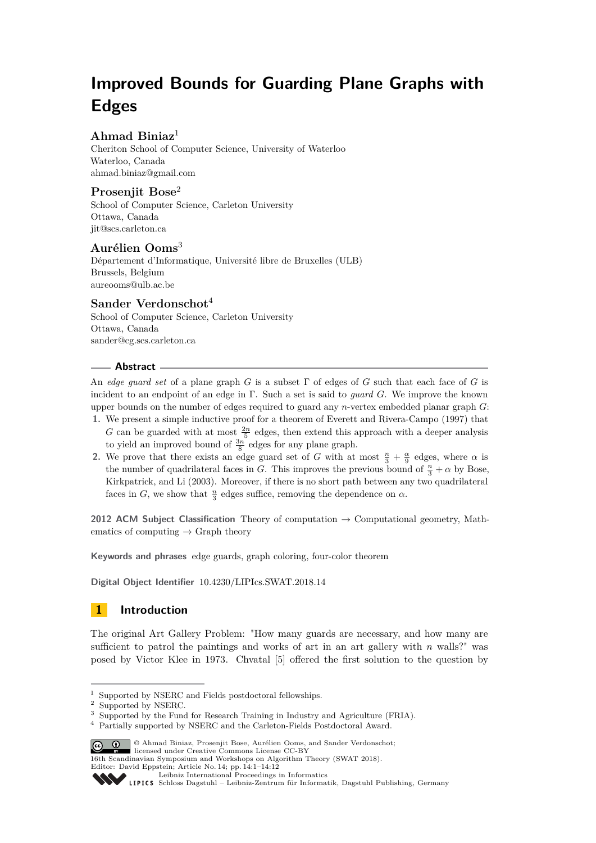# **Improved Bounds for Guarding Plane Graphs with Edges**

### **Ahmad Biniaz**<sup>1</sup>

Cheriton School of Computer Science, University of Waterloo Waterloo, Canada [ahmad.biniaz@gmail.com](mailto:ahmad.biniaz@gmail.com)

### **Prosenjit Bose**<sup>2</sup>

School of Computer Science, Carleton University Ottawa, Canada [jit@scs.carleton.ca](mailto:jit@scs.carleton.ca)

### **Aurélien Ooms**<sup>3</sup>

Département d'Informatique, Université libre de Bruxelles (ULB) Brussels, Belgium [aureooms@ulb.ac.be](mailto:aureooms@ulb.ac.be)

#### **Sander Verdonschot**<sup>4</sup>

School of Computer Science, Carleton University Ottawa, Canada [sander@cg.scs.carleton.ca](mailto:sander@cg.scs.carleton.ca)

#### **Abstract**

An *edge guard set* of a plane graph *G* is a subset Γ of edges of *G* such that each face of *G* is incident to an endpoint of an edge in Γ. Such a set is said to *guard G*. We improve the known upper bounds on the number of edges required to guard any *n*-vertex embedded planar graph *G*:

- **1.** We present a simple inductive proof for a theorem of Everett and Rivera-Campo (1997) that *G* can be guarded with at most  $\frac{2n}{5}$  edges, then extend this approach with a deeper analysis to yield an improved bound of  $\frac{3n}{8}$  edges for any plane graph.
- **2.** We prove that there exists an edge guard set of *G* with at most  $\frac{n}{3} + \frac{\alpha}{9}$  edges, where  $\alpha$  is the number of quadrilateral faces in *G*. This improves the previous bound of  $\frac{n}{3} + \alpha$  by Bose, Kirkpatrick, and Li (2003). Moreover, if there is no short path between any two quadrilateral faces in *G*, we show that  $\frac{n}{3}$  edges suffice, removing the dependence on  $\alpha$ .

**2012 ACM Subject Classification** Theory of computation → Computational geometry, Mathematics of computing  $\rightarrow$  Graph theory

**Keywords and phrases** edge guards, graph coloring, four-color theorem

**Digital Object Identifier** [10.4230/LIPIcs.SWAT.2018.14](http://dx.doi.org/10.4230/LIPIcs.SWAT.2018.14)

### **1 Introduction**

The original Art Gallery Problem: "How many guards are necessary, and how many are sufficient to patrol the paintings and works of art in an art gallery with *n* walls?" was posed by Victor Klee in 1973. Chvatal [\[5\]](#page-11-0) offered the first solution to the question by

<sup>&</sup>lt;sup>4</sup> Partially supported by NSERC and the Carleton-Fields Postdoctoral Award.



16th Scandinavian Symposium and Workshops on Algorithm Theory (SWAT 2018). Editor: David Eppstein; Article No. 14; pp. 14:1–14[:12](#page-11-1)

[Leibniz International Proceedings in Informatics](http://www.dagstuhl.de/lipics/)

<sup>1</sup> Supported by NSERC and Fields postdoctoral fellowships.

<sup>2</sup> Supported by NSERC.

<sup>&</sup>lt;sup>3</sup> Supported by the Fund for Research Training in Industry and Agriculture (FRIA).

[Schloss Dagstuhl – Leibniz-Zentrum für Informatik, Dagstuhl Publishing, Germany](http://www.dagstuhl.de)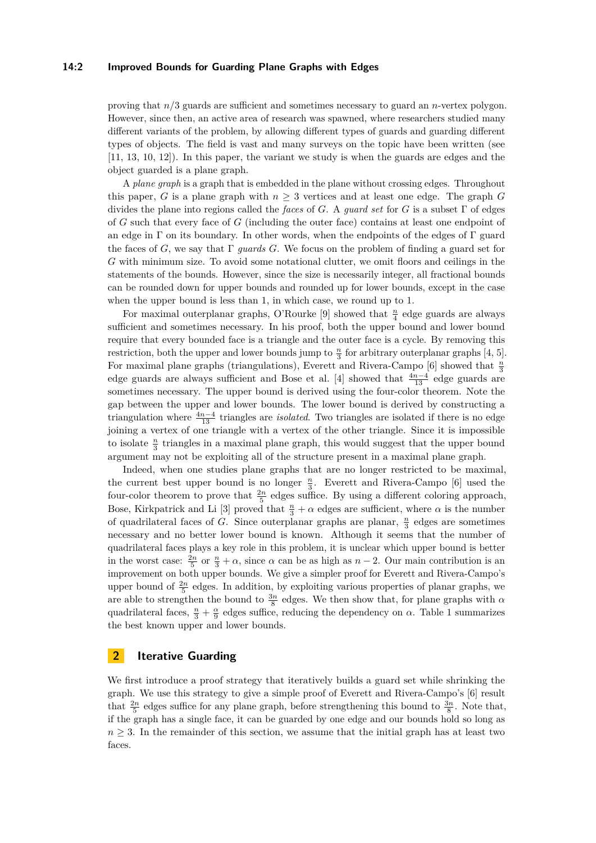#### **14:2 Improved Bounds for Guarding Plane Graphs with Edges**

proving that *n/*3 guards are sufficient and sometimes necessary to guard an *n*-vertex polygon. However, since then, an active area of research was spawned, where researchers studied many different variants of the problem, by allowing different types of guards and guarding different types of objects. The field is vast and many surveys on the topic have been written (see [\[11,](#page-11-2) [13,](#page-11-3) [10,](#page-11-4) [12\]](#page-11-5)). In this paper, the variant we study is when the guards are edges and the object guarded is a plane graph.

A *plane graph* is a graph that is embedded in the plane without crossing edges. Throughout this paper, *G* is a plane graph with  $n \geq 3$  vertices and at least one edge. The graph *G* divides the plane into regions called the *faces* of *G*. A *guard set* for *G* is a subset Γ of edges of *G* such that every face of *G* (including the outer face) contains at least one endpoint of an edge in  $\Gamma$  on its boundary. In other words, when the endpoints of the edges of  $\Gamma$  guard the faces of *G*, we say that Γ *guards G*. We focus on the problem of finding a guard set for *G* with minimum size. To avoid some notational clutter, we omit floors and ceilings in the statements of the bounds. However, since the size is necessarily integer, all fractional bounds can be rounded down for upper bounds and rounded up for lower bounds, except in the case when the upper bound is less than 1, in which case, we round up to 1.

For maximal outerplanar graphs, O'Rourke [\[9\]](#page-11-6) showed that  $\frac{n}{4}$  edge guards are always sufficient and sometimes necessary. In his proof, both the upper bound and lower bound require that every bounded face is a triangle and the outer face is a cycle. By removing this restriction, both the upper and lower bounds jump to  $\frac{n}{3}$  for arbitrary outerplanar graphs [\[4,](#page-11-7) [5\]](#page-11-0). For maximal plane graphs (triangulations), Everett and Rivera-Campo [\[6\]](#page-11-8) showed that  $\frac{n}{3}$ edge guards are always sufficient and Bose et al. [\[4\]](#page-11-7) showed that  $\frac{4n-4}{13}$  edge guards are sometimes necessary. The upper bound is derived using the four-color theorem. Note the gap between the upper and lower bounds. The lower bound is derived by constructing a triangulation where  $\frac{4n-4}{13}$  triangles are *isolated*. Two triangles are isolated if there is no edge joining a vertex of one triangle with a vertex of the other triangle. Since it is impossible to isolate  $\frac{n}{3}$  triangles in a maximal plane graph, this would suggest that the upper bound argument may not be exploiting all of the structure present in a maximal plane graph.

Indeed, when one studies plane graphs that are no longer restricted to be maximal, the current best upper bound is no longer  $\frac{n}{3}$ . Everett and Rivera-Campo [\[6\]](#page-11-8) used the four-color theorem to prove that  $\frac{2n}{5}$  edges suffice. By using a different coloring approach, Bose, Kirkpatrick and Li [\[3\]](#page-11-9) proved that  $\frac{n}{3} + \alpha$  edges are sufficient, where  $\alpha$  is the number of quadrilateral faces of *G*. Since outerplanar graphs are planar, *<sup>n</sup>* 3 edges are sometimes necessary and no better lower bound is known. Although it seems that the number of quadrilateral faces plays a key role in this problem, it is unclear which upper bound is better in the worst case:  $\frac{2n}{5}$  or  $\frac{n}{3} + \alpha$ , since  $\alpha$  can be as high as  $n-2$ . Our main contribution is an improvement on both upper bounds. We give a simpler proof for Everett and Rivera-Campo's upper bound of  $\frac{2n}{5}$  edges. In addition, by exploiting various properties of planar graphs, we are able to strengthen the bound to  $\frac{3n}{8}$  edges. We then show that, for plane graphs with *α* quadrilateral faces,  $\frac{n}{3} + \frac{\alpha}{9}$  edges suffice, reducing the dependency on *α*. Table [1](#page-2-0) summarizes the best known upper and lower bounds.

#### **2 Iterative Guarding**

We first introduce a proof strategy that iteratively builds a guard set while shrinking the graph. We use this strategy to give a simple proof of Everett and Rivera-Campo's [\[6\]](#page-11-8) result that  $\frac{2n}{5}$  edges suffice for any plane graph, before strengthening this bound to  $\frac{3n}{8}$ . Note that, if the graph has a single face, it can be guarded by one edge and our bounds hold so long as  $n \geq 3$ . In the remainder of this section, we assume that the initial graph has at least two faces.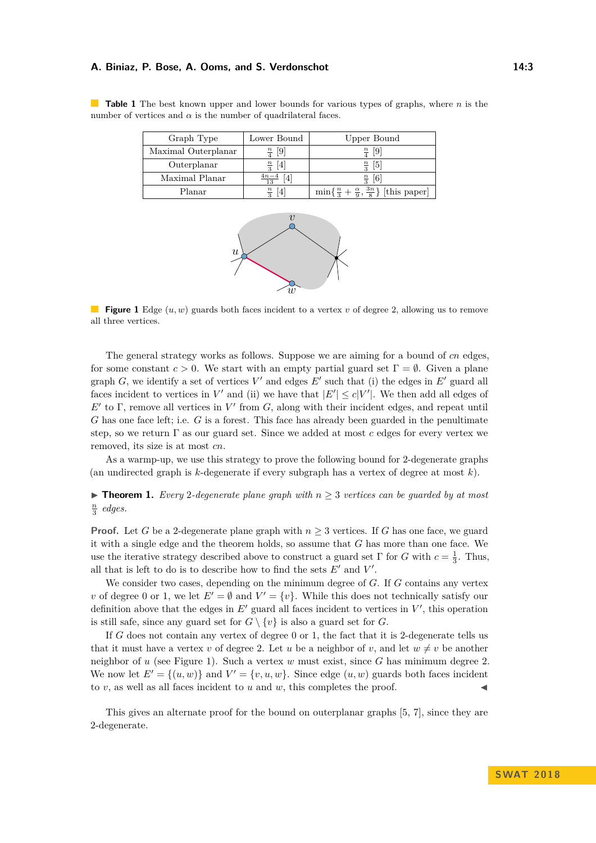#### **A. Biniaz, P. Bose, A. Ooms, and S. Verdonschot 14:3**

<span id="page-2-1"></span>

| Graph Type          | Lower Bound                        | Upper Bound                                                       |
|---------------------|------------------------------------|-------------------------------------------------------------------|
| Maximal Outerplanar | $\frac{n}{4}$ [9]                  | $\frac{n}{4}$ [9]                                                 |
| Outerplanar         | $\lceil 4 \rceil$<br>$\frac{n}{2}$ | $\lceil 5 \rceil$<br>$\frac{n}{2}$                                |
| Maximal Planar      | $4n-4$                             | $\lceil 6 \rceil$<br>$\frac{n}{2}$                                |
| Planar              | $\frac{n}{2}$<br> 4                | $\min\{\frac{n}{3}+\frac{\alpha}{9},\frac{3n}{8}\}\$ [this paper] |

<span id="page-2-0"></span>**Table 1** The best known upper and lower bounds for various types of graphs, where *n* is the number of vertices and  $\alpha$  is the number of quadrilateral faces.



**Figure 1** Edge (*u, w*) guards both faces incident to a vertex *v* of degree 2, allowing us to remove all three vertices.

The general strategy works as follows. Suppose we are aiming for a bound of *cn* edges, for some constant  $c > 0$ . We start with an empty partial guard set  $\Gamma = \emptyset$ . Given a plane graph  $G$ , we identify a set of vertices  $V'$  and edges  $E'$  such that (i) the edges in  $E'$  guard all faces incident to vertices in  $V'$  and (ii) we have that  $|E'| \leq c|V'|$ . We then add all edges of  $E'$  to Γ, remove all vertices in  $V'$  from  $G$ , along with their incident edges, and repeat until *G* has one face left; i.e. *G* is a forest. This face has already been guarded in the penultimate step, so we return Γ as our guard set. Since we added at most *c* edges for every vertex we removed, its size is at most *cn*.

As a warmp-up, we use this strategy to prove the following bound for 2-degenerate graphs (an undirected graph is *k*-degenerate if every subgraph has a vertex of degree at most *k*).

<span id="page-2-2"></span>**► Theorem 1.** *Every* 2-degenerate plane graph with  $n \geq 3$  vertices can be guarded by at most  $\frac{n}{3}$  *edges.* 

**Proof.** Let *G* be a 2-degenerate plane graph with  $n \geq 3$  vertices. If *G* has one face, we guard it with a single edge and the theorem holds, so assume that *G* has more than one face. We use the iterative strategy described above to construct a guard set  $\Gamma$  for *G* with  $c = \frac{1}{3}$ . Thus, all that is left to do is to describe how to find the sets  $E'$  and  $V'$ .

We consider two cases, depending on the minimum degree of *G*. If *G* contains any vertex *v* of degree 0 or 1, we let  $E' = \emptyset$  and  $V' = \{v\}$ . While this does not technically satisfy our definition above that the edges in  $E'$  guard all faces incident to vertices in  $V'$ , this operation is still safe, since any guard set for  $G \setminus \{v\}$  is also a guard set for *G*.

If *G* does not contain any vertex of degree 0 or 1, the fact that it is 2-degenerate tells us that it must have a vertex *v* of degree 2. Let *u* be a neighbor of *v*, and let  $w \neq v$  be another neighbor of *u* (see Figure [1\)](#page-2-1). Such a vertex *w* must exist, since *G* has minimum degree 2. We now let  $E' = \{(u, w)\}\$ and  $V' = \{v, u, w\}$ . Since edge  $(u, w)$  guards both faces incident to  $v$ , as well as all faces incident to  $u$  and  $w$ , this completes the proof.

This gives an alternate proof for the bound on outerplanar graphs [\[5,](#page-11-0) [7\]](#page-11-10), since they are 2-degenerate.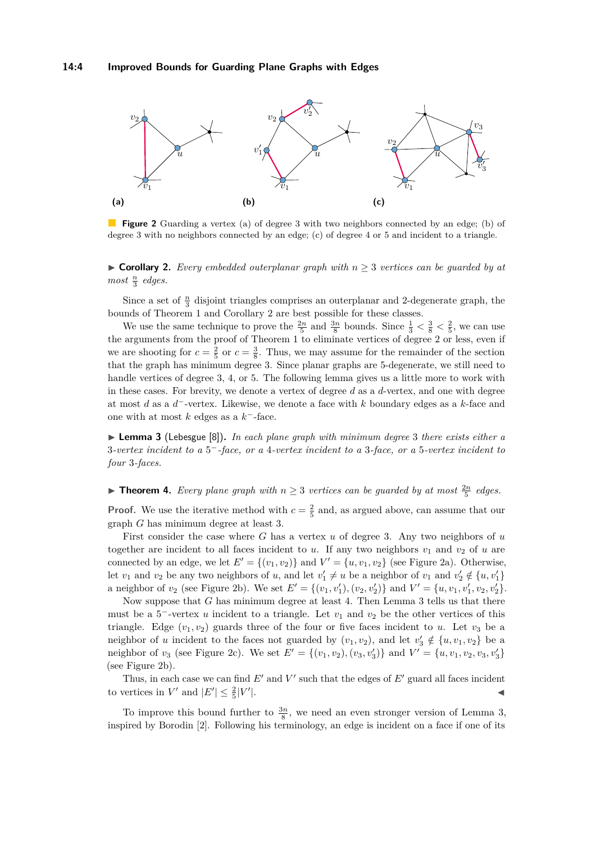<span id="page-3-1"></span>

**Figure 2** Guarding a vertex (a) of degree 3 with two neighbors connected by an edge; (b) of degree 3 with no neighbors connected by an edge; (c) of degree 4 or 5 and incident to a triangle.

<span id="page-3-0"></span> $\triangleright$  **Corollary 2.** *Every embedded outerplanar graph with*  $n > 3$  *vertices can be guarded by at most <sup>n</sup>* 3 *edges.*

Since a set of  $\frac{n}{3}$  disjoint triangles comprises an outerplanar and 2-degenerate graph, the bounds of Theorem [1](#page-2-2) and Corollary [2](#page-3-0) are best possible for these classes.

We use the same technique to prove the  $\frac{2n}{5}$  and  $\frac{3n}{8}$  bounds. Since  $\frac{1}{3} < \frac{3}{8} < \frac{2}{5}$ , we can use the arguments from the proof of Theorem [1](#page-2-2) to eliminate vertices of degree 2 or less, even if we are shooting for  $c = \frac{2}{5}$  or  $c = \frac{3}{8}$ . Thus, we may assume for the remainder of the section that the graph has minimum degree 3. Since planar graphs are 5-degenerate, we still need to handle vertices of degree 3, 4, or 5. The following lemma gives us a little more to work with in these cases. For brevity, we denote a vertex of degree *d* as a *d*-vertex, and one with degree at most *d* as a *d* <sup>−</sup>-vertex. Likewise, we denote a face with *k* boundary edges as a *k*-face and one with at most *k* edges as a *k* <sup>−</sup>-face.

<span id="page-3-2"></span>▶ **Lemma 3** (Lebesgue [\[8\]](#page-11-11)). *In each plane graph with minimum degree* 3 *there exists either a* 3*-vertex incident to a* 5 <sup>−</sup>*-face, or a* 4*-vertex incident to a* 3*-face, or a* 5*-vertex incident to four* 3*-faces.*

## ▶ **Theorem 4.** *Every plane graph with*  $n \geq 3$  *vertices can be guarded by at most*  $\frac{2n}{5}$  *edges.*

**Proof.** We use the iterative method with  $c = \frac{2}{5}$  and, as argued above, can assume that our graph *G* has minimum degree at least 3.

First consider the case where *G* has a vertex *u* of degree 3. Any two neighbors of *u* together are incident to all faces incident to *u*. If any two neighbors  $v_1$  and  $v_2$  of *u* are connected by an edge, we let  $E' = \{(v_1, v_2)\}\$ and  $V' = \{u, v_1, v_2\}$  (see Figure [2a\)](#page-3-1). Otherwise, let  $v_1$  and  $v_2$  be any two neighbors of *u*, and let  $v'_1 \neq u$  be a neighbor of  $v_1$  and  $v'_2 \notin \{u, v'_1\}$ a neighbor of  $v_2$  (see Figure [2b\)](#page-3-1). We set  $E' = \{(v_1, v_1'), (v_2, v_2')\}$  and  $V' = \{u, v_1, v_1', v_2, v_2'\}$ .

Now suppose that *G* has minimum degree at least 4. Then Lemma [3](#page-3-2) tells us that there must be a  $5^-$ -vertex *u* incident to a triangle. Let  $v_1$  and  $v_2$  be the other vertices of this triangle. Edge  $(v_1, v_2)$  guards three of the four or five faces incident to *u*. Let  $v_3$  be a neighbor of *u* incident to the faces not guarded by  $(v_1, v_2)$ , and let  $v'_3 \notin \{u, v_1, v_2\}$  be a neighbor of  $v_3$  (see Figure [2c\)](#page-3-1). We set  $E' = \{(v_1, v_2), (v_3, v'_3)\}$  and  $V' = \{u, v_1, v_2, v_3, v'_3\}$ (see Figure [2b\)](#page-3-1).

Thus, in each case we can find  $E'$  and  $V'$  such that the edges of  $E'$  guard all faces incident to vertices in  $V'$  and  $|E'| \leq \frac{2}{5}|V'$ |. J

To improve this bound further to  $\frac{3n}{8}$ , we need an even stronger version of Lemma [3,](#page-3-2) inspired by Borodin [\[2\]](#page-11-12). Following his terminology, an edge is incident on a face if one of its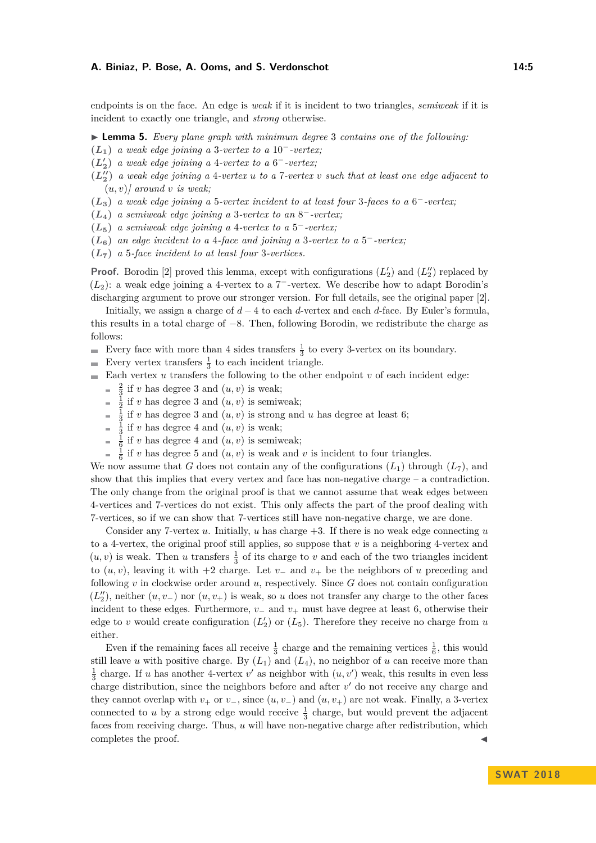#### **A. Biniaz, P. Bose, A. Ooms, and S. Verdonschot 14:5** 14:5

endpoints is on the face. An edge is *weak* if it is incident to two triangles, *semiweak* if it is incident to exactly one triangle, and *strong* otherwise.

- <span id="page-4-0"></span>I **Lemma 5.** *Every plane graph with minimum degree* 3 *contains one of the following:*
- **(***L***1)** *a weak edge joining a* 3*-vertex to a* 10−*-vertex;*
- $(L'_2)$  *a weak edge joining a* 4*-vertex to a* 6<sup>-</sup>*-vertex;*
- $(L_2'')$  *a weak edge joining a* 4*-vertex u to a* 7*-vertex v such that at least one edge adjacent to*  $(u, v)$  *around v is weak*;
- **(***L***3)** *a weak edge joining a* 5*-vertex incident to at least four* 3*-faces to a* 6 <sup>−</sup>*-vertex;*
- $(L_4)$  *a semiweak edge joining a* 3-vertex to an  $8^-$ -vertex;
- $(L_5)$  *a semiweak edge joining a 4-vertex to a* 5<sup>-</sup>*-vertex;*
- **(***L***6)** *an edge incident to a* 4*-face and joining a* 3*-vertex to a* 5 <sup>−</sup>*-vertex;*
- **(***L***7)** *a* 5*-face incident to at least four* 3*-vertices.*

**Proof.** Borodin [\[2\]](#page-11-12) proved this lemma, except with configurations  $(L'_2)$  and  $(L''_2)$  replaced by  $(L<sub>2</sub>)$ : a weak edge joining a 4-vertex to a 7<sup>-</sup>-vertex. We describe how to adapt Borodin's discharging argument to prove our stronger version. For full details, see the original paper [\[2\]](#page-11-12).

Initially, we assign a charge of *d* − 4 to each *d*-vertex and each *d*-face. By Euler's formula, this results in a total charge of −8. Then, following Borodin, we redistribute the charge as follows:

- Every face with more than 4 sides transfers  $\frac{1}{3}$  to every 3-vertex on its boundary.
- Every vertex transfers  $\frac{1}{3}$  to each incident triangle.
- $\blacksquare$  Each vertex *u* transfers the following to the other endpoint *v* of each incident edge:
	- $\frac{2}{3}$  if *v* has degree 3 and  $(u, v)$  is weak;
	- $\frac{1}{2}$  if *v* has degree 3 and  $(u, v)$  is semiweak;
	- $\frac{1}{3}$  if *v* has degree 3 and  $(u, v)$  is strong and *u* has degree at least 6;
	- $\frac{1}{3}$  if *v* has degree 4 and  $(u, v)$  is weak;  $\bar{a}$
	- $\frac{1}{6}$  if *v* has degree 4 and  $(u, v)$  is semiweak;
	- $\frac{1}{6}$  if *v* has degree 5 and  $(u, v)$  is weak and *v* is incident to four triangles.

We now assume that *G* does not contain any of the configurations  $(L_1)$  through  $(L_7)$ , and show that this implies that every vertex and face has non-negative charge  $-$  a contradiction. The only change from the original proof is that we cannot assume that weak edges between 4-vertices and 7-vertices do not exist. This only affects the part of the proof dealing with 7-vertices, so if we can show that 7-vertices still have non-negative charge, we are done.

Consider any 7-vertex  $u$ . Initially,  $u$  has charge  $+3$ . If there is no weak edge connecting  $u$ to a 4-vertex, the original proof still applies, so suppose that  $v$  is a neighboring 4-vertex and  $(u, v)$  is weak. Then *u* transfers  $\frac{1}{3}$  of its charge to *v* and each of the two triangles incident to  $(u, v)$ , leaving it with +2 charge. Let  $v_-\$  and  $v_+$  be the neighbors of  $u$  preceding and following  $v$  in clockwise order around  $u$ , respectively. Since  $G$  does not contain configuration  $(L_2'')$ , neither  $(u, v_-)$  nor  $(u, v_+)$  is weak, so *u* does not transfer any charge to the other faces incident to these edges. Furthermore,  $v_$  and  $v_+$  must have degree at least 6, otherwise their edge to *v* would create configuration  $(L'_2)$  or  $(L_5)$ . Therefore they receive no charge from *u* either.

Even if the remaining faces all receive  $\frac{1}{3}$  charge and the remaining vertices  $\frac{1}{6}$ , this would still leave *u* with positive charge. By  $(L_1)$  and  $(L_4)$ , no neighbor of *u* can receive more than  $\frac{1}{3}$  charge. If *u* has another 4-vertex *v'* as neighbor with  $(u, v')$  weak, this results in even less charge distribution, since the neighbors before and after  $v'$  do not receive any charge and they cannot overlap with  $v_+$  or  $v_-$ , since  $(u, v_-)$  and  $(u, v_+)$  are not weak. Finally, a 3-vertex connected to *u* by a strong edge would receive  $\frac{1}{3}$  charge, but would prevent the adjacent faces from receiving charge. Thus, *u* will have non-negative charge after redistribution, which completes the proof.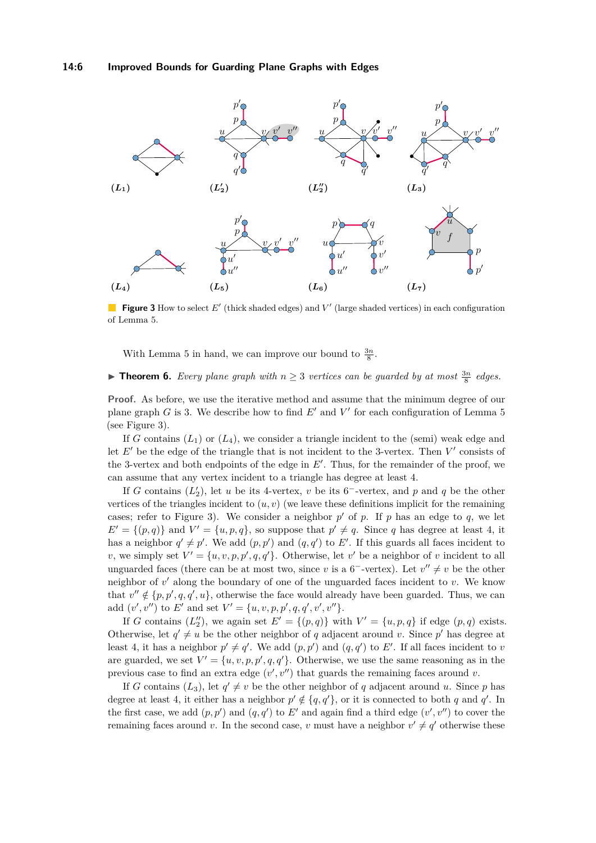#### **14:6 Improved Bounds for Guarding Plane Graphs with Edges**

<span id="page-5-0"></span>

**Figure 3** How to select E' (thick shaded edges) and V' (large shaded vertices) in each configuration of Lemma [5.](#page-4-0)

With Lemma [5](#page-4-0) in hand, we can improve our bound to  $\frac{3n}{8}$ .

## ▶ **Theorem 6.** *Every plane graph with*  $n \geq 3$  *vertices can be guarded by at most*  $\frac{3n}{8}$  *edges.*

**Proof.** As before, we use the iterative method and assume that the minimum degree of our plane graph *G* is 3. We describe how to find  $E'$  and  $V'$  for each configuration of Lemma [5](#page-4-0) (see Figure [3\)](#page-5-0).

If *G* contains  $(L_1)$  or  $(L_4)$ , we consider a triangle incident to the (semi) weak edge and let  $E'$  be the edge of the triangle that is not incident to the 3-vertex. Then  $V'$  consists of the 3-vertex and both endpoints of the edge in  $E'$ . Thus, for the remainder of the proof, we can assume that any vertex incident to a triangle has degree at least 4.

If *G* contains  $(L'_2)$ , let *u* be its 4-vertex, *v* be its 6<sup>-</sup>-vertex, and *p* and *q* be the other vertices of the triangles incident to  $(u, v)$  (we leave these definitions implicit for the remaining cases; refer to Figure [3\)](#page-5-0). We consider a neighbor  $p'$  of  $p$ . If  $p$  has an edge to  $q$ , we let  $E' = \{(p, q)\}\$ and  $V' = \{u, p, q\}$ , so suppose that  $p' \neq q$ . Since *q* has degree at least 4, it has a neighbor  $q' \neq p'$ . We add  $(p, p')$  and  $(q, q')$  to *E'*. If this guards all faces incident to *v*, we simply set  $V' = \{u, v, p, p', q, q'\}$ . Otherwise, let *v*' be a neighbor of *v* incident to all unguarded faces (there can be at most two, since *v* is a 6<sup>-</sup>-vertex). Let  $v'' \neq v$  be the other neighbor of  $v'$  along the boundary of one of the unguarded faces incident to  $v$ . We know that  $v'' \notin \{p, p', q, q', u\}$ , otherwise the face would already have been guarded. Thus, we can add  $(v', v'')$  to *E'* and set  $V' = \{u, v, p, p', q, q', v', v''\}.$ 

If *G* contains  $(L_2'')$ , we again set  $E' = \{(p,q)\}\$  with  $V' = \{u,p,q\}$  if edge  $(p,q)$  exists. Otherwise, let  $q' \neq u$  be the other neighbor of *q* adjacent around *v*. Since *p*<sup>'</sup> has degree at least 4, it has a neighbor  $p' \neq q'$ . We add  $(p, p')$  and  $(q, q')$  to *E'*. If all faces incident to *v* are guarded, we set  $V' = \{u, v, p, p', q, q'\}$ . Otherwise, we use the same reasoning as in the previous case to find an extra edge  $(v', v'')$  that guards the remaining faces around  $v$ .

If *G* contains  $(L_3)$ , let  $q' \neq v$  be the other neighbor of *q* adjacent around *u*. Since *p* has degree at least 4, it either has a neighbor  $p' \notin \{q, q'\}$ , or it is connected to both *q* and *q'*. In the first case, we add  $(p, p')$  and  $(q, q')$  to E' and again find a third edge  $(v', v'')$  to cover the remaining faces around *v*. In the second case, *v* must have a neighbor  $v' \neq q'$  otherwise these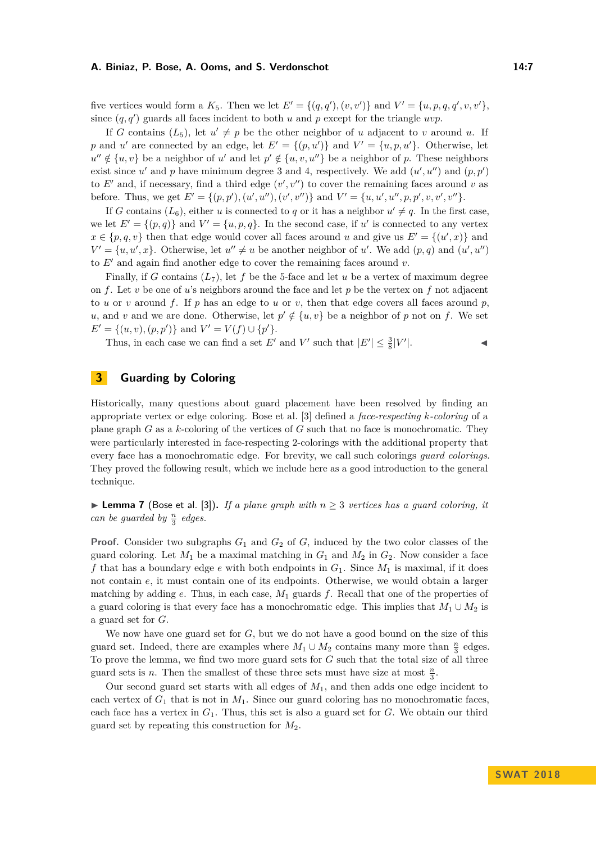#### **A. Biniaz, P. Bose, A. Ooms, and S. Verdonschot 14:7** 14:7

five vertices would form a  $K_5$ . Then we let  $E' = \{(q, q'), (v, v')\}$  and  $V' = \{u, p, q, q', v, v'\},$ since  $(q, q')$  guards all faces incident to both  $u$  and  $p$  except for the triangle *uvp*.

If *G* contains  $(L_5)$ , let  $u' \neq p$  be the other neighbor of *u* adjacent to *v* around *u*. If *p* and *u*<sup> $\prime$ </sup> are connected by an edge, let  $E' = \{(p, u')\}$  and  $V' = \{u, p, u'\}$ . Otherwise, let  $u'' \notin \{u, v\}$  be a neighbor of *u*' and let  $p' \notin \{u, v, u''\}$  be a neighbor of *p*. These neighbors exist since  $u'$  and  $p$  have minimum degree 3 and 4, respectively. We add  $(u', u'')$  and  $(p, p')$ to  $E'$  and, if necessary, find a third edge  $(v', v'')$  to cover the remaining faces around *v* as before. Thus, we get  $E' = \{(p, p'), (u', u''), (v', v'')\}$  and  $V' = \{u, u', u'', p, p', v, v', v''\}.$ 

If *G* contains  $(L_6)$ , either *u* is connected to *q* or it has a neighbor  $u' \neq q$ . In the first case, we let  $E' = \{(p, q)\}\$ and  $V' = \{u, p, q\}$ . In the second case, if u' is connected to any vertex  $x \in \{p, q, v\}$  then that edge would cover all faces around *u* and give us  $E' = \{(u', x)\}\$ and  $V' = \{u, u', x\}$ . Otherwise, let  $u'' \neq u$  be another neighbor of *u'*. We add  $(p, q)$  and  $(u', u'')$ to  $E'$  and again find another edge to cover the remaining faces around  $v$ .

Finally, if *G* contains  $(L_7)$ , let *f* be the 5-face and let *u* be a vertex of maximum degree on *f*. Let *v* be one of *u*'s neighbors around the face and let *p* be the vertex on *f* not adjacent to *u* or *v* around *f*. If *p* has an edge to *u* or *v*, then that edge covers all faces around *p*, *u*, and *v* and we are done. Otherwise, let  $p' \notin \{u, v\}$  be a neighbor of *p* not on *f*. We set  $E' = \{(u, v), (p, p')\}$  and  $V' = V(f) \cup \{p'\}.$ 

Thus, in each case we can find a set  $E'$  and  $V'$  such that  $|E'| \leq \frac{3}{8}|V'|$  $\|.\|$ 

### **3 Guarding by Coloring**

Historically, many questions about guard placement have been resolved by finding an appropriate vertex or edge coloring. Bose et al. [\[3\]](#page-11-9) defined a *face-respecting k-coloring* of a plane graph *G* as a *k*-coloring of the vertices of *G* such that no face is monochromatic. They were particularly interested in face-respecting 2-colorings with the additional property that every face has a monochromatic edge. For brevity, we call such colorings *guard colorings*. They proved the following result, which we include here as a good introduction to the general technique.

▶ **Lemma 7** (Bose et al. [\[3\]](#page-11-9)). *If a plane graph with*  $n \ge 3$  *vertices has a guard coloring, it can be guarded by*  $\frac{n}{3}$  *edges.* 

**Proof.** Consider two subgraphs  $G_1$  and  $G_2$  of  $G$ , induced by the two color classes of the guard coloring. Let  $M_1$  be a maximal matching in  $G_1$  and  $M_2$  in  $G_2$ . Now consider a face f that has a boundary edge  $e$  with both endpoints in  $G_1$ . Since  $M_1$  is maximal, if it does not contain *e*, it must contain one of its endpoints. Otherwise, we would obtain a larger matching by adding *e*. Thus, in each case, *M*<sup>1</sup> guards *f*. Recall that one of the properties of a guard coloring is that every face has a monochromatic edge. This implies that  $M_1 \cup M_2$  is a guard set for *G*.

We now have one guard set for *G*, but we do not have a good bound on the size of this guard set. Indeed, there are examples where  $M_1 \cup M_2$  contains many more than  $\frac{n}{3}$  edges. To prove the lemma, we find two more guard sets for *G* such that the total size of all three guard sets is *n*. Then the smallest of these three sets must have size at most  $\frac{n}{3}$ .

Our second guard set starts with all edges of  $M_1$ , and then adds one edge incident to each vertex of  $G_1$  that is not in  $M_1$ . Since our guard coloring has no monochromatic faces, each face has a vertex in *G*1. Thus, this set is also a guard set for *G*. We obtain our third guard set by repeating this construction for *M*2.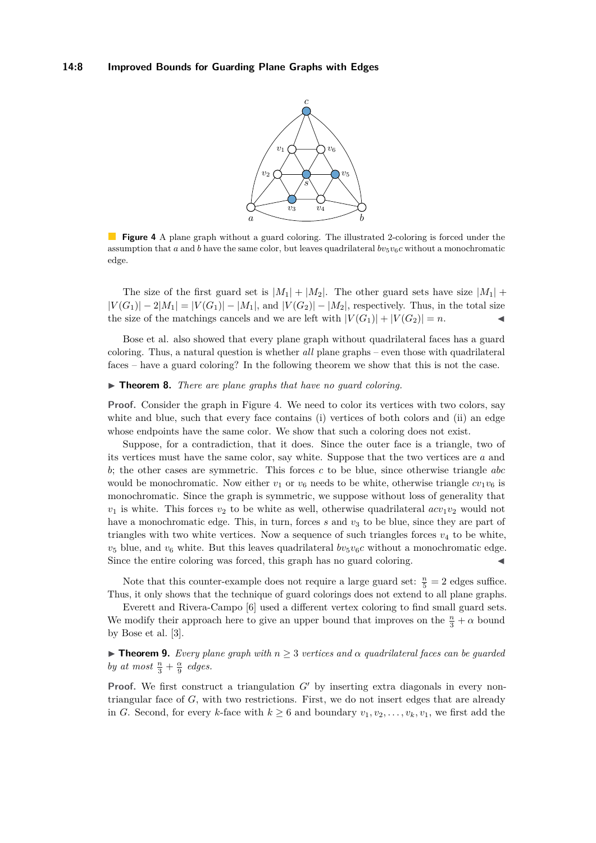<span id="page-7-0"></span>

**Figure 4** A plane graph without a guard coloring. The illustrated 2-coloring is forced under the assumption that *a* and *b* have the same color, but leaves quadrilateral  $bv_5v_6c$  without a monochromatic edge.

The size of the first guard set is  $|M_1| + |M_2|$ . The other guard sets have size  $|M_1| +$  $|V(G_1)| - 2|M_1| = |V(G_1)| - |M_1|$ , and  $|V(G_2)| - |M_2|$ , respectively. Thus, in the total size the size of the matchings cancels and we are left with  $|V(G_1)| + |V(G_2)| = n$ .

Bose et al. also showed that every plane graph without quadrilateral faces has a guard coloring. Thus, a natural question is whether *all* plane graphs – even those with quadrilateral faces – have a guard coloring? In the following theorem we show that this is not the case.

#### ▶ **Theorem 8.** *There are plane graphs that have no quard coloring.*

**Proof.** Consider the graph in Figure [4.](#page-7-0) We need to color its vertices with two colors, say white and blue, such that every face contains (i) vertices of both colors and (ii) an edge whose endpoints have the same color. We show that such a coloring does not exist.

Suppose, for a contradiction, that it does. Since the outer face is a triangle, two of its vertices must have the same color, say white. Suppose that the two vertices are *a* and *b*; the other cases are symmetric. This forces *c* to be blue, since otherwise triangle *abc* would be monochromatic. Now either  $v_1$  or  $v_6$  needs to be white, otherwise triangle  $cv_1v_6$  is monochromatic. Since the graph is symmetric, we suppose without loss of generality that  $v_1$  is white. This forces  $v_2$  to be white as well, otherwise quadrilateral  $acv_1v_2$  would not have a monochromatic edge. This, in turn, forces *s* and  $v<sub>3</sub>$  to be blue, since they are part of triangles with two white vertices. Now a sequence of such triangles forces  $v_4$  to be white,  $v_5$  blue, and  $v_6$  white. But this leaves quadrilateral  $bv_5v_6c$  without a monochromatic edge. Since the entire coloring was forced, this graph has no guard coloring.

Note that this counter-example does not require a large guard set:  $\frac{n}{5} = 2$  edges suffice. Thus, it only shows that the technique of guard colorings does not extend to all plane graphs.

Everett and Rivera-Campo [\[6\]](#page-11-8) used a different vertex coloring to find small guard sets. We modify their approach here to give an upper bound that improves on the  $\frac{n}{3} + \alpha$  bound by Bose et al. [\[3\]](#page-11-9).

<span id="page-7-1"></span>**Find 1.** *For Every plane graph with*  $n \geq 3$  *vertices and*  $\alpha$  *quadrilateral faces can be guarded by at most*  $\frac{n}{3} + \frac{\alpha}{9}$  *edges.* 

**Proof.** We first construct a triangulation *G*<sup>0</sup> by inserting extra diagonals in every nontriangular face of *G*, with two restrictions. First, we do not insert edges that are already in *G*. Second, for every *k*-face with  $k \geq 6$  and boundary  $v_1, v_2, \ldots, v_k, v_1$ , we first add the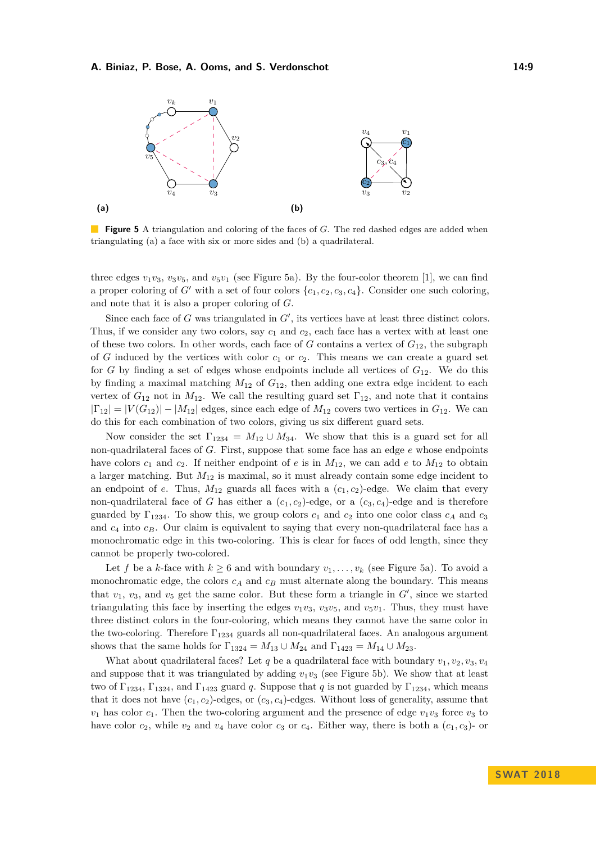#### **A. Biniaz, P. Bose, A. Ooms, and S. Verdonschot 14:9**

<span id="page-8-0"></span>

**Figure 5** A triangulation and coloring of the faces of *G*. The red dashed edges are added when triangulating (a) a face with six or more sides and (b) a quadrilateral.

three edges  $v_1v_3$ ,  $v_3v_5$ , and  $v_5v_1$  (see Figure [5a\)](#page-8-0). By the four-color theorem [\[1\]](#page-11-13), we can find a proper coloring of *G*<sup> $\prime$ </sup> with a set of four colors  $\{c_1, c_2, c_3, c_4\}$ . Consider one such coloring, and note that it is also a proper coloring of *G*.

Since each face of  $G$  was triangulated in  $G'$ , its vertices have at least three distinct colors. Thus, if we consider any two colors, say *c*<sup>1</sup> and *c*2, each face has a vertex with at least one of these two colors. In other words, each face of *G* contains a vertex of *G*12, the subgraph of *G* induced by the vertices with color  $c_1$  or  $c_2$ . This means we can create a guard set for *G* by finding a set of edges whose endpoints include all vertices of  $G_{12}$ . We do this by finding a maximal matching *M*<sup>12</sup> of *G*12, then adding one extra edge incident to each vertex of  $G_{12}$  not in  $M_{12}$ . We call the resulting guard set  $\Gamma_{12}$ , and note that it contains  $|\Gamma_{12}| = |V(G_{12})| - |M_{12}|$  edges, since each edge of  $M_{12}$  covers two vertices in  $G_{12}$ . We can do this for each combination of two colors, giving us six different guard sets.

Now consider the set  $\Gamma_{1234} = M_{12} \cup M_{34}$ . We show that this is a guard set for all non-quadrilateral faces of *G*. First, suppose that some face has an edge *e* whose endpoints have colors  $c_1$  and  $c_2$ . If neither endpoint of  $e$  is in  $M_{12}$ , we can add  $e$  to  $M_{12}$  to obtain a larger matching. But *M*<sup>12</sup> is maximal, so it must already contain some edge incident to an endpoint of *e*. Thus,  $M_{12}$  guards all faces with a  $(c_1, c_2)$ -edge. We claim that every non-quadrilateral face of *G* has either a  $(c_1, c_2)$ -edge, or a  $(c_3, c_4)$ -edge and is therefore guarded by  $\Gamma_{1234}$ . To show this, we group colors  $c_1$  and  $c_2$  into one color class  $c_A$  and  $c_3$ and  $c_4$  into  $c_B$ . Our claim is equivalent to saying that every non-quadrilateral face has a monochromatic edge in this two-coloring. This is clear for faces of odd length, since they cannot be properly two-colored.

Let *f* be a *k*-face with  $k \ge 6$  and with boundary  $v_1, \ldots, v_k$  (see Figure [5a\)](#page-8-0). To avoid a monochromatic edge, the colors  $c_A$  and  $c_B$  must alternate along the boundary. This means that  $v_1$ ,  $v_3$ , and  $v_5$  get the same color. But these form a triangle in  $G'$ , since we started triangulating this face by inserting the edges  $v_1v_3$ ,  $v_3v_5$ , and  $v_5v_1$ . Thus, they must have three distinct colors in the four-coloring, which means they cannot have the same color in the two-coloring. Therefore  $\Gamma_{1234}$  guards all non-quadrilateral faces. An analogous argument shows that the same holds for  $\Gamma_{1324} = M_{13} \cup M_{24}$  and  $\Gamma_{1423} = M_{14} \cup M_{23}$ .

What about quadrilateral faces? Let  $q$  be a quadrilateral face with boundary  $v_1, v_2, v_3, v_4$ and suppose that it was triangulated by adding  $v_1v_3$  (see Figure [5b\)](#page-8-0). We show that at least two of  $\Gamma_{1234}$ ,  $\Gamma_{1324}$ , and  $\Gamma_{1423}$  guard *q*. Suppose that *q* is not guarded by  $\Gamma_{1234}$ , which means that it does not have  $(c_1, c_2)$ -edges, or  $(c_3, c_4)$ -edges. Without loss of generality, assume that  $v_1$  has color  $c_1$ . Then the two-coloring argument and the presence of edge  $v_1v_3$  force  $v_3$  to have color  $c_2$ , while  $v_2$  and  $v_4$  have color  $c_3$  or  $c_4$ . Either way, there is both a  $(c_1, c_3)$ - or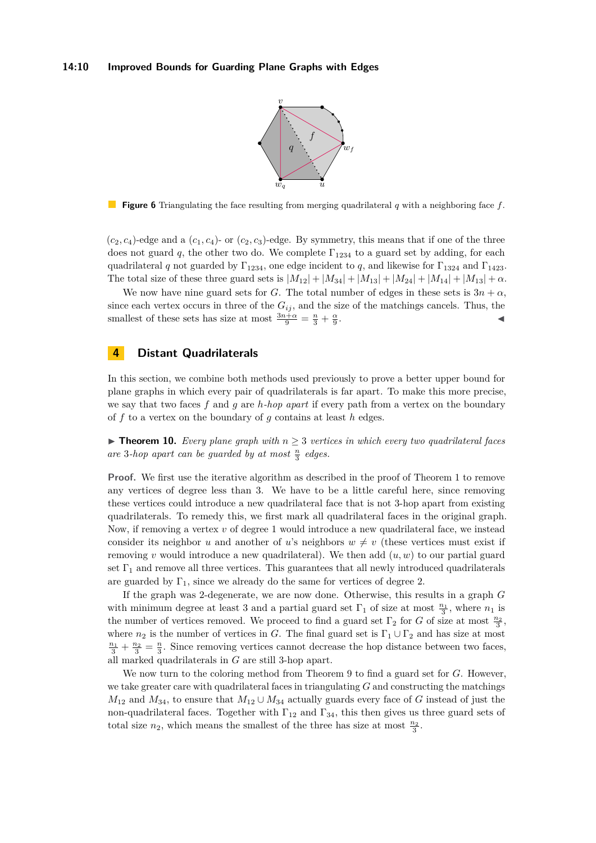

<span id="page-9-0"></span>**Figure 6** Triangulating the face resulting from merging quadrilateral *q* with a neighboring face *f*.

 $(c_2, c_4)$ -edge and a  $(c_1, c_4)$ - or  $(c_2, c_3)$ -edge. By symmetry, this means that if one of the three does not guard q, the other two do. We complete  $\Gamma_{1234}$  to a guard set by adding, for each quadrilateral *q* not guarded by  $\Gamma_{1234}$ , one edge incident to *q*, and likewise for  $\Gamma_{1324}$  and  $\Gamma_{1423}$ . The total size of these three guard sets is  $|M_{12}| + |M_{34}| + |M_{13}| + |M_{24}| + |M_{14}| + |M_{13}| + \alpha$ .

We now have nine guard sets for *G*. The total number of edges in these sets is  $3n + \alpha$ , since each vertex occurs in three of the  $G_{ij}$ , and the size of the matchings cancels. Thus, the smallest of these sets has size at most  $\frac{3n+\alpha}{9} = \frac{n}{3} + \frac{\alpha}{9}$ . John Park Research (1986)

### **4 Distant Quadrilaterals**

In this section, we combine both methods used previously to prove a better upper bound for plane graphs in which every pair of quadrilaterals is far apart. To make this more precise, we say that two faces *f* and *g* are *h-hop apart* if every path from a vertex on the boundary of *f* to a vertex on the boundary of *g* contains at least *h* edges.

**Findment 10.** Every plane graph with  $n \geq 3$  vertices in which every two quadrilateral faces are 3-hop apart can be guarded by at most  $\frac{n}{3}$  edges.

**Proof.** We first use the iterative algorithm as described in the proof of Theorem [1](#page-2-2) to remove any vertices of degree less than 3. We have to be a little careful here, since removing these vertices could introduce a new quadrilateral face that is not 3-hop apart from existing quadrilaterals. To remedy this, we first mark all quadrilateral faces in the original graph. Now, if removing a vertex *v* of degree 1 would introduce a new quadrilateral face, we instead consider its neighbor *u* and another of *u*'s neighbors  $w \neq v$  (these vertices must exist if removing *v* would introduce a new quadrilateral). We then add (*u, w*) to our partial guard set  $\Gamma_1$  and remove all three vertices. This guarantees that all newly introduced quadrilaterals are guarded by  $\Gamma_1$ , since we already do the same for vertices of degree 2.

If the graph was 2-degenerate, we are now done. Otherwise, this results in a graph *G* with minimum degree at least 3 and a partial guard set  $\Gamma_1$  of size at most  $\frac{n_1}{3}$ , where  $n_1$  is the number of vertices removed. We proceed to find a guard set  $\Gamma_2$  for *G* of size at most  $\frac{n_2}{3}$ , where  $n_2$  is the number of vertices in *G*. The final guard set is  $\Gamma_1 \cup \Gamma_2$  and has size at most  $\frac{n_1}{3} + \frac{n_2}{3} = \frac{n}{3}$ . Since removing vertices cannot decrease the hop distance between two faces, all marked quadrilaterals in *G* are still 3-hop apart.

We now turn to the coloring method from Theorem [9](#page-7-1) to find a guard set for *G*. However, we take greater care with quadrilateral faces in triangulating *G* and constructing the matchings  $M_{12}$  and  $M_{34}$ , to ensure that  $M_{12} \cup M_{34}$  actually guards every face of *G* instead of just the non-quadrilateral faces. Together with  $\Gamma_{12}$  and  $\Gamma_{34}$ , this then gives us three guard sets of total size  $n_2$ , which means the smallest of the three has size at most  $\frac{n_2}{3}$ .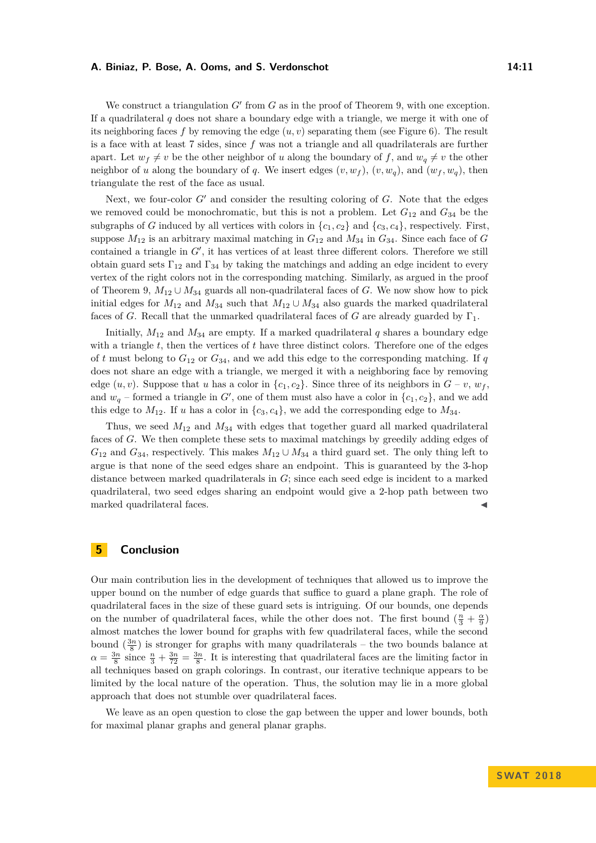#### **A. Biniaz, P. Bose, A. Ooms, and S. Verdonschot 14:11**

We construct a triangulation  $G'$  from  $G$  as in the proof of Theorem [9,](#page-7-1) with one exception. If a quadrilateral *q* does not share a boundary edge with a triangle, we merge it with one of its neighboring faces f by removing the edge  $(u, v)$  separating them (see Figure [6\)](#page-9-0). The result is a face with at least 7 sides, since *f* was not a triangle and all quadrilaterals are further apart. Let  $w_f \neq v$  be the other neighbor of *u* along the boundary of *f*, and  $w_q \neq v$  the other neighbor of *u* along the boundary of *q*. We insert edges  $(v, w_f)$ ,  $(v, w_g)$ , and  $(w_f, w_g)$ , then triangulate the rest of the face as usual.

Next, we four-color  $G'$  and consider the resulting coloring of  $G$ . Note that the edges we removed could be monochromatic, but this is not a problem. Let  $G_{12}$  and  $G_{34}$  be the subgraphs of *G* induced by all vertices with colors in  $\{c_1, c_2\}$  and  $\{c_3, c_4\}$ , respectively. First, suppose  $M_{12}$  is an arbitrary maximal matching in  $G_{12}$  and  $M_{34}$  in  $G_{34}$ . Since each face of *G* contained a triangle in  $G'$ , it has vertices of at least three different colors. Therefore we still obtain guard sets  $\Gamma_{12}$  and  $\Gamma_{34}$  by taking the matchings and adding an edge incident to every vertex of the right colors not in the corresponding matching. Similarly, as argued in the proof of Theorem [9,](#page-7-1)  $M_{12} \cup M_{34}$  guards all non-quadrilateral faces of *G*. We now show how to pick initial edges for  $M_{12}$  and  $M_{34}$  such that  $M_{12} \cup M_{34}$  also guards the marked quadrilateral faces of *G*. Recall that the unmarked quadrilateral faces of *G* are already guarded by  $\Gamma_1$ .

Initially,  $M_{12}$  and  $M_{34}$  are empty. If a marked quadrilateral  $q$  shares a boundary edge with a triangle *t*, then the vertices of *t* have three distinct colors. Therefore one of the edges of *t* must belong to  $G_{12}$  or  $G_{34}$ , and we add this edge to the corresponding matching. If q does not share an edge with a triangle, we merged it with a neighboring face by removing edge  $(u, v)$ . Suppose that *u* has a color in  $\{c_1, c_2\}$ . Since three of its neighbors in  $G - v$ ,  $w_f$ , and  $w_q$  – formed a triangle in  $G'$ , one of them must also have a color in  $\{c_1, c_2\}$ , and we add this edge to  $M_{12}$ . If *u* has a color in  $\{c_3, c_4\}$ , we add the corresponding edge to  $M_{34}$ .

Thus, we seed *M*<sup>12</sup> and *M*<sup>34</sup> with edges that together guard all marked quadrilateral faces of *G*. We then complete these sets to maximal matchings by greedily adding edges of  $G_{12}$  and  $G_{34}$ , respectively. This makes  $M_{12} \cup M_{34}$  a third guard set. The only thing left to argue is that none of the seed edges share an endpoint. This is guaranteed by the 3-hop distance between marked quadrilaterals in *G*; since each seed edge is incident to a marked quadrilateral, two seed edges sharing an endpoint would give a 2-hop path between two marked quadrilateral faces.

#### **5 Conclusion**

Our main contribution lies in the development of techniques that allowed us to improve the upper bound on the number of edge guards that suffice to guard a plane graph. The role of quadrilateral faces in the size of these guard sets is intriguing. Of our bounds, one depends on the number of quadrilateral faces, while the other does not. The first bound  $(\frac{n}{3} + \frac{\alpha}{9})$ almost matches the lower bound for graphs with few quadrilateral faces, while the second bound  $\left(\frac{3n}{8}\right)$  is stronger for graphs with many quadrilaterals – the two bounds balance at  $\alpha = \frac{3n}{8}$  since  $\frac{n}{3} + \frac{3n}{72} = \frac{3n}{8}$ . It is interesting that quadrilateral faces are the limiting factor in all techniques based on graph colorings. In contrast, our iterative technique appears to be limited by the local nature of the operation. Thus, the solution may lie in a more global approach that does not stumble over quadrilateral faces.

We leave as an open question to close the gap between the upper and lower bounds, both for maximal planar graphs and general planar graphs.